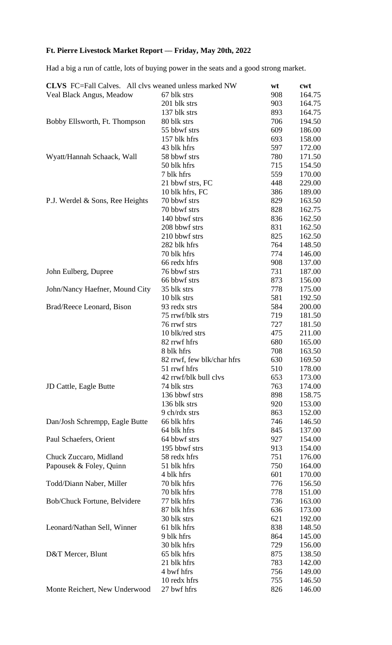## **Ft. Pierre Livestock Market Report –– Friday, May 20th, 2022**

Had a big a run of cattle, lots of buying power in the seats and a good strong market.

| <b>CLVS</b> FC=Fall Calves. All clvs weaned unless marked NW |                            | wt  | cwt    |
|--------------------------------------------------------------|----------------------------|-----|--------|
| Veal Black Angus, Meadow                                     | 67 blk strs                | 908 | 164.75 |
|                                                              | 201 blk strs               | 903 | 164.75 |
|                                                              | 137 blk strs               | 893 | 164.75 |
| Bobby Ellsworth, Ft. Thompson                                | 80 blk strs                | 706 | 194.50 |
|                                                              | 55 bbwf strs               | 609 | 186.00 |
|                                                              | 157 blk hfrs               | 693 | 158.00 |
|                                                              | 43 blk hfrs                | 597 | 172.00 |
| Wyatt/Hannah Schaack, Wall                                   | 58 bbwf strs               | 780 | 171.50 |
|                                                              | 50 blk hfrs                | 715 | 154.50 |
|                                                              | 7 blk hfrs                 | 559 | 170.00 |
|                                                              | 21 bbwf strs, FC           | 448 | 229.00 |
|                                                              | 10 blk hfrs, FC            | 386 | 189.00 |
| P.J. Werdel & Sons, Ree Heights                              | 70 bbwf strs               | 829 | 163.50 |
|                                                              | 70 bbwf strs               | 828 | 162.75 |
|                                                              | 140 bbwf strs              | 836 | 162.50 |
|                                                              | 208 bbwf strs              | 831 | 162.50 |
|                                                              | 210 bbwf strs              | 825 | 162.50 |
|                                                              | 282 blk hfrs               | 764 | 148.50 |
|                                                              | 70 blk hfrs                | 774 | 146.00 |
|                                                              | 66 redx hfrs               | 908 | 137.00 |
| John Eulberg, Dupree                                         | 76 bbwf strs               | 731 | 187.00 |
|                                                              | 66 bbwf strs               | 873 | 156.00 |
| John/Nancy Haefner, Mound City                               | 35 blk strs                | 778 | 175.00 |
|                                                              | 10 blk strs                | 581 | 192.50 |
| Brad/Reece Leonard, Bison                                    | 93 redx strs               | 584 | 200.00 |
|                                                              | 75 rrwf/blk strs           | 719 | 181.50 |
|                                                              | 76 rrwf strs               | 727 | 181.50 |
|                                                              | 10 blk/red strs            | 475 | 211.00 |
|                                                              | 82 rrwf hfrs               | 680 | 165.00 |
|                                                              | 8 blk hfrs                 | 708 | 163.50 |
|                                                              | 82 rrwf, few blk/char hfrs | 630 | 169.50 |
|                                                              | 51 rrwf hfrs               | 510 | 178.00 |
|                                                              | 42 rrwf/blk bull clvs      | 653 | 173.00 |
| JD Cattle, Eagle Butte                                       | 74 blk strs                | 763 | 174.00 |
|                                                              | 136 bbwf strs              | 898 | 158.75 |
|                                                              | 136 blk strs               | 920 | 153.00 |
|                                                              | 9 ch/rdx strs              | 863 | 152.00 |
| Dan/Josh Schrempp, Eagle Butte                               | 66 blk hfrs                | 746 | 146.50 |
|                                                              | 64 blk hfrs                | 845 | 137.00 |
| Paul Schaefers, Orient                                       | 64 bbwf strs               | 927 | 154.00 |
|                                                              | 195 bbwf strs              | 913 | 154.00 |
| Chuck Zuccaro, Midland                                       | 58 redx hfrs               | 751 | 176.00 |
| Papousek & Foley, Quinn                                      | 51 blk hfrs                | 750 | 164.00 |
|                                                              | 4 blk hfrs                 | 601 | 170.00 |
| Todd/Diann Naber, Miller                                     | 70 blk hfrs                | 776 | 156.50 |
|                                                              | 70 blk hfrs                | 778 | 151.00 |
| Bob/Chuck Fortune, Belvidere                                 | 77 blk hfrs                | 736 | 163.00 |
|                                                              | 87 blk hfrs                | 636 | 173.00 |
|                                                              | 30 blk strs                | 621 | 192.00 |
| Leonard/Nathan Sell, Winner                                  | 61 blk hfrs                | 838 | 148.50 |
|                                                              | 9 blk hfrs                 | 864 | 145.00 |
|                                                              | 30 blk hfrs                | 729 | 156.00 |
| D&T Mercer, Blunt                                            | 65 blk hfrs                | 875 | 138.50 |
|                                                              | 21 blk hfrs                | 783 | 142.00 |
|                                                              | 4 bwf hfrs                 | 756 | 149.00 |
|                                                              | 10 redx hfrs               | 755 | 146.50 |
| Monte Reichert, New Underwood                                | 27 bwf hfrs                | 826 | 146.00 |
|                                                              |                            |     |        |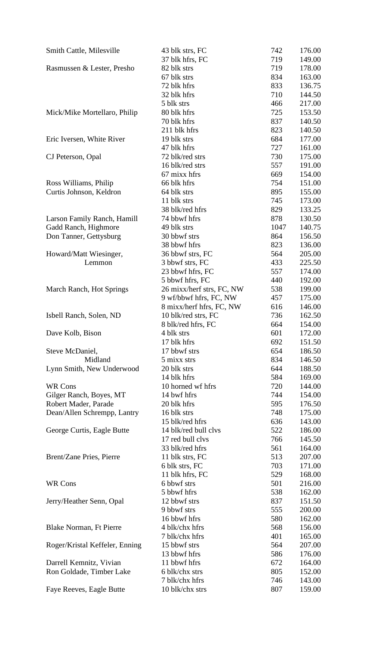| Smith Cattle, Milesville       | 43 blk strs, FC           | 742  | 176.00 |
|--------------------------------|---------------------------|------|--------|
|                                | 37 blk hfrs, FC           | 719  | 149.00 |
| Rasmussen & Lester, Presho     | 82 blk strs               | 719  | 178.00 |
|                                | 67 blk strs               | 834  | 163.00 |
|                                | 72 blk hfrs               | 833  | 136.75 |
|                                | 32 blk hfrs               | 710  | 144.50 |
|                                | 5 blk strs                | 466  | 217.00 |
| Mick/Mike Mortellaro, Philip   | 80 blk hfrs               | 725  | 153.50 |
|                                | 70 blk hfrs               | 837  | 140.50 |
|                                | 211 blk hfrs              | 823  | 140.50 |
| Eric Iversen, White River      | 19 blk strs               | 684  | 177.00 |
|                                | 47 blk hfrs               | 727  | 161.00 |
| CJ Peterson, Opal              | 72 blk/red strs           | 730  | 175.00 |
|                                | 16 blk/red strs           | 557  | 191.00 |
|                                | 67 mixx hfrs              | 669  | 154.00 |
| Ross Williams, Philip          | 66 blk hfrs               | 754  | 151.00 |
| Curtis Johnson, Keldron        | 64 blk strs               | 895  | 155.00 |
|                                | 11 blk strs               | 745  | 173.00 |
|                                | 38 blk/red hfrs           | 829  | 133.25 |
| Larson Family Ranch, Hamill    | 74 bbwf hfrs              | 878  | 130.50 |
| Gadd Ranch, Highmore           | 49 blk strs               | 1047 | 140.75 |
| Don Tanner, Gettysburg         | 30 bbwf strs              | 864  | 156.50 |
|                                | 38 bbwf hfrs              | 823  | 136.00 |
| Howard/Matt Wiesinger,         | 36 bbwf strs, FC          | 564  | 205.00 |
| Lemmon                         | 3 bbwf strs, FC           | 433  | 225.50 |
|                                | 23 bbwf hfrs, FC          | 557  | 174.00 |
|                                | 5 bbwf hfrs, FC           | 440  | 192.00 |
| March Ranch, Hot Springs       | 26 mixx/herf strs, FC, NW | 538  | 199.00 |
|                                | 9 wf/bbwf hfrs, FC, NW    | 457  | 175.00 |
|                                | 8 mixx/herf hfrs, FC, NW  | 616  | 146.00 |
| Isbell Ranch, Solen, ND        | 10 blk/red strs, FC       | 736  | 162.50 |
|                                | 8 blk/red hfrs, FC        | 664  | 154.00 |
| Dave Kolb, Bison               | 4 blk strs                | 601  | 172.00 |
|                                | 17 blk hfrs               | 692  | 151.50 |
| Steve McDaniel,                | 17 bbwf strs              | 654  | 186.50 |
| Midland                        | 5 mixx strs               | 834  | 146.50 |
| Lynn Smith, New Underwood      | 20 blk strs               | 644  | 188.50 |
|                                | 14 blk hfrs               | 584  | 169.00 |
| <b>WR Cons</b>                 | 10 horned wf hfrs         | 720  | 144.00 |
| Gilger Ranch, Boyes, MT        | 14 bwf hfrs               | 744  | 154.00 |
| Robert Mader, Parade           | 20 blk hfrs               | 595  | 176.50 |
| Dean/Allen Schrempp, Lantry    | 16 blk strs               | 748  | 175.00 |
|                                | 15 blk/red hfrs           | 636  | 143.00 |
| George Curtis, Eagle Butte     | 14 blk/red bull clvs      | 522  | 186.00 |
|                                | 17 red bull clvs          | 766  | 145.50 |
|                                | 33 blk/red hfrs           | 561  | 164.00 |
| Brent/Zane Pries, Pierre       | 11 blk strs, FC           | 513  | 207.00 |
|                                | 6 blk strs, FC            | 703  | 171.00 |
|                                | 11 blk hfrs, FC           | 529  | 168.00 |
| <b>WR Cons</b>                 | 6 bbwf strs               | 501  | 216.00 |
|                                | 5 bbwf hfrs               | 538  | 162.00 |
| Jerry/Heather Senn, Opal       | 12 bbwf strs              | 837  | 151.50 |
|                                | 9 bbwf strs               | 555  | 200.00 |
|                                | 16 bbwf hfrs              | 580  | 162.00 |
| Blake Norman, Ft Pierre        | 4 blk/chx hfrs            | 568  | 156.00 |
|                                | 7 blk/chx hfrs            | 401  | 165.00 |
| Roger/Kristal Keffeler, Enning | 15 bbwf strs              | 564  | 207.00 |
|                                | 13 bbwf hfrs              | 586  | 176.00 |
| Darrell Kemnitz, Vivian        | 11 bbwf hfrs              | 672  | 164.00 |
| Ron Goldade, Timber Lake       | 6 blk/chx strs            | 805  | 152.00 |
|                                | 7 blk/chx hfrs            | 746  | 143.00 |
| Faye Reeves, Eagle Butte       | 10 blk/chx strs           | 807  | 159.00 |
|                                |                           |      |        |